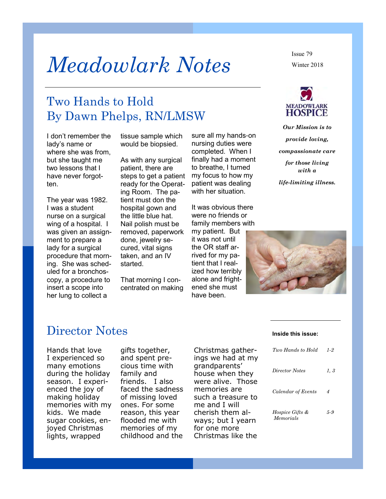# *Meadowlark Notes*

# Two Hands to Hold By Dawn Phelps, RN/LMSW

I don't remember the lady's name or where she was from, but she taught me two lessons that I have never forgotten.

The year was 1982. I was a student nurse on a surgical wing of a hospital. I was given an assignment to prepare a lady for a surgical procedure that morning. She was scheduled for a bronchoscopy, a procedure to insert a scope into her lung to collect a

tissue sample which would be biopsied.

As with any surgical patient, there are steps to get a patient ready for the Operating Room. The patient must don the hospital gown and the little blue hat. Nail polish must be removed, paperwork done, jewelry secured, vital signs taken, and an IV started.

That morning I concentrated on making sure all my hands-on nursing duties were completed. When I finally had a moment to breathe, I turned my focus to how my patient was dealing with her situation.

It was obvious there were no friends or family members with

my patient. But it was not until the OR staff arrived for my patient that I realized how terribly alone and frightened she must have been.

Winter 2018 Issue 79



*Our Mission is to provide loving, compassionate care for those living with a* 

*life-limiting illness.*



### Director Notes

Hands that love I experienced so many emotions during the holiday season. I experienced the joy of making holiday memories with my kids. We made sugar cookies, enjoyed Christmas lights, wrapped

gifts together, and spent precious time with family and friends. I also faced the sadness of missing loved ones. For some reason, this year flooded me with memories of my childhood and the

Christmas gatherings we had at my grandparents' house when they were alive. Those memories are such a treasure to me and I will cherish them always; but I yearn for one more Christmas like the

#### **Inside this issue:**

| Two Hands to Hold                       | 1-2  |
|-----------------------------------------|------|
| Director Notes                          | 1, 3 |
| Calendar of Events                      | 4    |
| <i>Hospice Gifts &amp;</i><br>Memorials | 5-9  |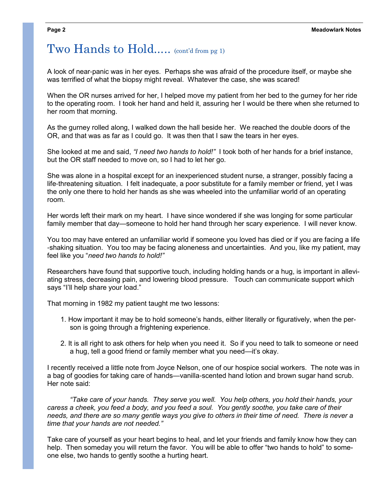# Two Hands to Hold..... (cont'd from pg 1)

A look of near-panic was in her eyes. Perhaps she was afraid of the procedure itself, or maybe she was terrified of what the biopsy might reveal. Whatever the case, she was scared!

When the OR nurses arrived for her, I helped move my patient from her bed to the gurney for her ride to the operating room. I took her hand and held it, assuring her I would be there when she returned to her room that morning.

As the gurney rolled along, I walked down the hall beside her. We reached the double doors of the OR, and that was as far as I could go. It was then that I saw the tears in her eyes.

She looked at me and said, *"I need two hands to hold!"* I took both of her hands for a brief instance, but the OR staff needed to move on, so I had to let her go.

She was alone in a hospital except for an inexperienced student nurse, a stranger, possibly facing a life-threatening situation. I felt inadequate, a poor substitute for a family member or friend, yet I was the only one there to hold her hands as she was wheeled into the unfamiliar world of an operating room.

Her words left their mark on my heart. I have since wondered if she was longing for some particular family member that day—someone to hold her hand through her scary experience. I will never know.

You too may have entered an unfamiliar world if someone you loved has died or if you are facing a life -shaking situation. You too may be facing aloneness and uncertainties. And you, like my patient, may feel like you "*need two hands to hold!"* 

Researchers have found that supportive touch, including holding hands or a hug, is important in alleviating stress, decreasing pain, and lowering blood pressure. Touch can communicate support which says "I'll help share your load."

That morning in 1982 my patient taught me two lessons:

- 1. How important it may be to hold someone's hands, either literally or figuratively, when the person is going through a frightening experience.
- 2. It is all right to ask others for help when you need it. So if you need to talk to someone or need a hug, tell a good friend or family member what you need—it's okay.

I recently received a little note from Joyce Nelson, one of our hospice social workers. The note was in a bag of goodies for taking care of hands—vanilla-scented hand lotion and brown sugar hand scrub. Her note said:

*"Take care of your hands. They serve you well. You help others, you hold their hands, your caress a cheek, you feed a body, and you feed a soul. You gently soothe, you take care of their needs, and there are so many gentle ways you give to others in their time of need. There is never a time that your hands are not needed."* 

Take care of yourself as your heart begins to heal, and let your friends and family know how they can help. Then someday you will return the favor. You will be able to offer "two hands to hold" to someone else, two hands to gently soothe a hurting heart.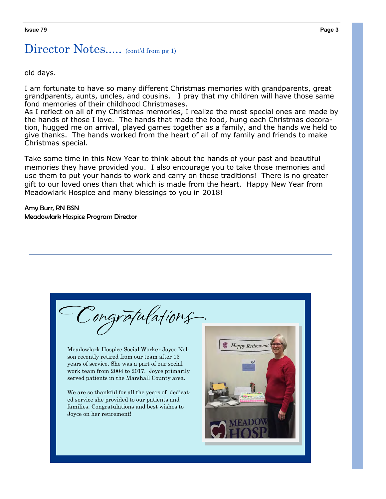# Director Notes..... (cont'd from pg 1)

old days.

I am fortunate to have so many different Christmas memories with grandparents, great grandparents, aunts, uncles, and cousins. I pray that my children will have those same fond memories of their childhood Christmases.

As I reflect on all of my Christmas memories, I realize the most special ones are made by the hands of those I love. The hands that made the food, hung each Christmas decoration, hugged me on arrival, played games together as a family, and the hands we held to give thanks. The hands worked from the heart of all of my family and friends to make Christmas special.

Take some time in this New Year to think about the hands of your past and beautiful memories they have provided you. I also encourage you to take those memories and use them to put your hands to work and carry on those traditions! There is no greater gift to our loved ones than that which is made from the heart. Happy New Year from Meadowlark Hospice and many blessings to you in 2018!

Amy Burr, RN BSN Meadowlark Hospice Program Director

| Congratulations<br>Meadowlark Hospice Social Worker Joyce Nel-<br>son recently retired from our team after 13<br>years of service. She was a part of our social<br>work team from 2004 to 2017. Joyce primarily<br>served patients in the Marshall County area.<br>We are so thankful for all the years of dedicat-<br>ed service she provided to our patients and<br>families. Congratulations and best wishes to<br>Joyce on her retirement! | <b>Happy Retirement</b> |
|------------------------------------------------------------------------------------------------------------------------------------------------------------------------------------------------------------------------------------------------------------------------------------------------------------------------------------------------------------------------------------------------------------------------------------------------|-------------------------|
|                                                                                                                                                                                                                                                                                                                                                                                                                                                |                         |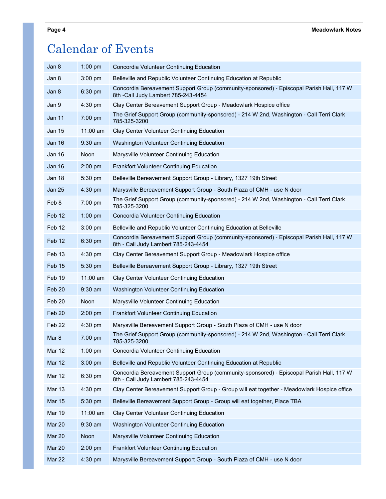# Calendar of Events

| Jan 8             | $1:00$ pm   | Concordia Volunteer Continuing Education                                                                                         |
|-------------------|-------------|----------------------------------------------------------------------------------------------------------------------------------|
| Jan 8             | $3:00$ pm   | Belleville and Republic Volunteer Continuing Education at Republic                                                               |
| Jan 8             | 6:30 pm     | Concordia Bereavement Support Group (community-sponsored) - Episcopal Parish Hall, 117 W<br>8th -Call Judy Lambert 785-243-4454  |
| Jan 9             | 4:30 pm     | Clay Center Bereavement Support Group - Meadowlark Hospice office                                                                |
| <b>Jan 11</b>     | 7:00 pm     | The Grief Support Group (community-sponsored) - 214 W 2nd, Washington - Call Terri Clark<br>785-325-3200                         |
| <b>Jan 15</b>     | $11:00$ am  | Clay Center Volunteer Continuing Education                                                                                       |
| Jan 16            | $9:30$ am   | <b>Washington Volunteer Continuing Education</b>                                                                                 |
| Jan 16            | Noon        | Marysville Volunteer Continuing Education                                                                                        |
| Jan 16            | 2:00 pm     | <b>Frankfort Volunteer Continuing Education</b>                                                                                  |
| Jan 18            | 5:30 pm     | Belleville Bereavement Support Group - Library, 1327 19th Street                                                                 |
| <b>Jan 25</b>     | $4:30$ pm   | Marysville Bereavement Support Group - South Plaza of CMH - use N door                                                           |
| Feb 8             | 7:00 pm     | The Grief Support Group (community-sponsored) - 214 W 2nd, Washington - Call Terri Clark<br>785-325-3200                         |
| Feb 12            | $1:00$ pm   | Concordia Volunteer Continuing Education                                                                                         |
| Feb 12            | $3:00$ pm   | Belleville and Republic Volunteer Continuing Education at Belleville                                                             |
| Feb 12            | 6:30 pm     | Concordia Bereavement Support Group (community-sponsored) - Episcopal Parish Hall, 117 W<br>8th - Call Judy Lambert 785-243-4454 |
| Feb 13            | $4:30$ pm   | Clay Center Bereavement Support Group - Meadowlark Hospice office                                                                |
| Feb 15            | 5:30 pm     | Belleville Bereavement Support Group - Library, 1327 19th Street                                                                 |
| Feb 19            | $11:00$ am  | Clay Center Volunteer Continuing Education                                                                                       |
| Feb 20            | $9:30$ am   | <b>Washington Volunteer Continuing Education</b>                                                                                 |
| Feb 20            | <b>Noon</b> | Marysville Volunteer Continuing Education                                                                                        |
| Feb 20            | $2:00$ pm   | <b>Frankfort Volunteer Continuing Education</b>                                                                                  |
| Feb <sub>22</sub> | $4:30$ pm   | Marysville Bereavement Support Group - South Plaza of CMH - use N door                                                           |
| Mar 8             | 7:00 pm     | The Grief Support Group (community-sponsored) - 214 W 2nd, Washington - Call Terri Clark<br>785-325-3200                         |
| Mar 12            | $1:00$ pm   | Concordia Volunteer Continuing Education                                                                                         |
| Mar 12            | 3:00 pm     | Belleville and Republic Volunteer Continuing Education at Republic                                                               |
| Mar 12            | 6:30 pm     | Concordia Bereavement Support Group (community-sponsored) - Episcopal Parish Hall, 117 W<br>8th - Call Judy Lambert 785-243-4454 |
| <b>Mar 13</b>     | 4:30 pm     | Clay Center Bereavement Support Group - Group will eat together - Meadowlark Hospice office                                      |
| <b>Mar 15</b>     | 5:30 pm     | Belleville Bereavement Support Group - Group will eat together, Place TBA                                                        |
| <b>Mar 19</b>     | 11:00 am    | Clay Center Volunteer Continuing Education                                                                                       |
| <b>Mar 20</b>     | 9:30 am     | Washington Volunteer Continuing Education                                                                                        |
| Mar 20            | Noon        | Marysville Volunteer Continuing Education                                                                                        |
| <b>Mar 20</b>     | $2:00$ pm   | <b>Frankfort Volunteer Continuing Education</b>                                                                                  |
| Mar 22            | 4:30 pm     | Marysville Bereavement Support Group - South Plaza of CMH - use N door                                                           |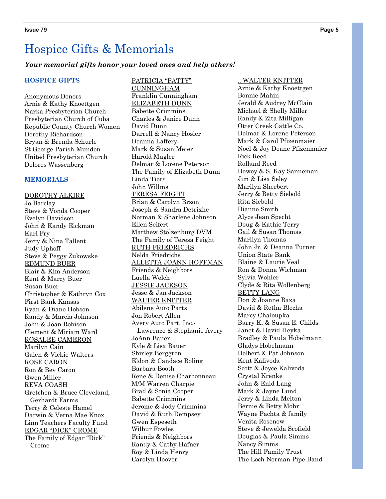#### *Your memorial gifts honor your loved ones and help others!*

#### **HOSPICE GIFTS**

Anonymous Donors Arnie & Kathy Knoettgen Narka Presbyterian Church Presbyterian Church of Cuba Republic County Church Women Dorothy Richardson Bryan & Brenda Schurle St George Parish-Munden United Presbyterian Church Dolores Wassenberg

#### **MEMORIALS**

DOROTHY ALKIRE Jo Barclay Steve & Vonda Cooper Evelyn Davidson John & Kandy Eickman Karl Fry Jerry & Nina Tallent Judy Uphoff Steve & Peggy Zukowske EDMUND BUER Blair & Kim Anderson Kent & Marcy Buer Susan Buer Christopher & Kathryn Cox First Bank Kansas Ryan & Diane Hobson Randy & Marcia Johnson John & Joan Robison Clement & Miriam Ward ROSALEE CAMERON Marilyn Cain Galen & Vickie Walters ROSE CARON Ron & Bev Caron Gwen Miller REVA COASH Gretchen & Bruce Cleveland, Gerhardt Farms Terry & Celeste Hamel Darwin & Verna Mae Knox Linn Teachers Faculty Fund EDGAR "DICK" CROME The Family of Edgar "Dick" Crome

PATRICIA "PATTY" CUNNINGHAM Franklin Cunningham ELIZABETH DUNN Babette Crimmins Charles & Janice Dunn David Dunn Darrell & Nancy Hosler Deanna Laffery Mark & Susan Meier Harold Mugler Delmar & Lorene Peterson The Family of Elizabeth Dunn Linda Tiers John Willms TERESA FEIGHT Brian & Carolyn Brzon Joseph & Sandra Detrixhe Norman & Sharlene Johnson Ellen Seifert Matthew Stolzenburg DVM The Family of Teresa Feight RUTH FRIEDRICHS Nelda Friedrichs ALLETTA JOANN HOFFMAN Friends & Neighbors Luella Welch JESSIE JACKSON Jesse & Jan Jackson WALTER KNITTER Abilene Auto Parts Jon Robert Allen Avery Auto Part, Inc.- Lawrence & Stephanie Avery JoAnn Bauer Kyle & Lisa Bauer Shirley Berggren Eldon & Candace Boling Barbara Booth Rene & Denise Charbonneau M/M Warren Charpie Brad & Sonia Cooper Babette Crimmins Jerome & Jody Crimmins David & Ruth Dempsey Gwen Espeseth Wilbur Fowles Friends & Neighbors Randy & Cathy Hafner Roy & Linda Henry Carolyn Hoover

#### ...WALTER KNITTER

Arnie & Kathy Knoettgen Bonnie Mahin Jerald & Audrey McClain Michael & Shelly Miller Randy & Zita Milligan Otter Creek Cattle Co. Delmar & Lorene Peterson Mark & Carol Pfizenmaier Noel & Joy Deane Pfizenmaier Rick Reed Rolland Reed Dewey & S. Kay Sanneman Jim & Lisa Seley Marilyn Sherbert Jerry & Betty Siebold Rita Siebold Dianne Smith Alyce Jean Specht Doug & Kathie Terry Gail & Susan Thomas Marilyn Thomas John Jr. & Deanna Turner Union State Bank Blaine & Laurie Veal Ron & Donna Wichman Sylvia Wohler Clyde & Rita Wollenberg BETTY LANG Don & Joanne Baxa David & Retha Blecha Marcy Chaloupka Barry K. & Susan E. Childs Janet & David Heyka Bradley & Paula Hobelmann Gladys Hobelmann Delbert & Pat Johnson Kent Kalivoda Scott & Joyce Kalivoda Crystal Krenke John & Enid Lang Mark & Jayne Lund Jerry & Linda Melton Bernie & Betty Mohr Wayne Pachta & family Venita Rosenow Steve & Jewelda Scofield Douglas & Paula Simms Nancy Simms The Hill Family Trust The Loch Norman Pipe Band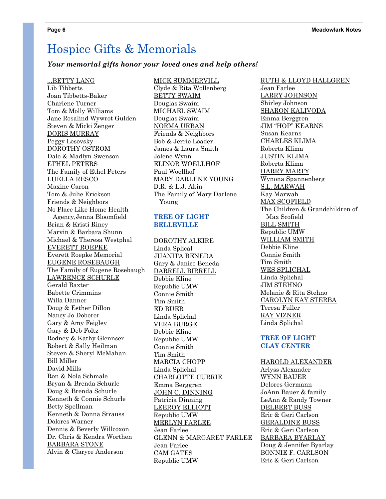#### *Your memorial gifts honor your loved ones and help others!*

#### ...BETTY LANG

Lib Tibbetts Joan Tibbetts-Baker Charlene Turner Tom & Molly Williams Jane Rosalind Wywrot Gulden Steven & Micki Zenger DORIS MURRAY Peggy Lesovsky DOROTHY OSTROM Dale & Madlyn Swenson ETHEL PETERS The Family of Ethel Peters LUELLA RESCO Maxine Caron Tom & Julie Erickson Friends & Neighbors No Place Like Home Health Agency,Jenna Bloomfield Brian & Kristi Riney Marvin & Barbara Shunn Michael & Theresa Westphal EVERETT ROEPKE Everett Roepke Memorial EUGENE ROSEBAUGH The Family of Eugene Rosebaugh LAWRENCE SCHURLE Gerald Baxter Babette Crimmins Willa Danner Doug & Esther Dillon Nancy Jo Doberer Gary & Amy Feigley Gary & Deb Foltz Rodney & Kathy Glennser Robert & Sally Heilman Steven & Sheryl McMahan Bill Miller David Mills Ron & Nola Schmale Bryan & Brenda Schurle Doug & Brenda Schurle Kenneth & Connie Schurle Betty Spellman Kenneth & Donna Strauss Dolores Warner Dennis & Beverly Willcoxon Dr. Chris & Kendra Worthen BARBARA STONE Alvin & Claryce Anderson

#### MICK SUMMERVILL

Clyde & Rita Wollenberg BETTY SWAIM Douglas Swaim MICHAEL SWAIM Douglas Swaim NORMA URBAN Friends & Neighbors Bob & Jerrie Loader James & Laura Smith Jolene Wynn ELINOR WOELLHOF Paul Woellhof MARY DARLENE YOUNG D.R. & L.J. Akin The Family of Mary Darlene Young

#### **TREE OF LIGHT BELLEVILLE**

DOROTHY ALKIRE Linda Splical JUANITA BENEDA Gary & Janice Beneda DARRELL BIRRELL Debbie Kline Republic UMW Connie Smith Tim Smith ED BUER Linda Splichal VERA BURGE Debbie Kline Republic UMW Connie Smith Tim Smith MARCIA CHOPP Linda Splichal CHARLOTTE CURRIE Emma Berggren JOHN C. DINNING Patricia Dinning LEEROY ELLIOTT Republic UMW MERLYN FARLEE Jean Farlee GLENN & MARGARET FARLEE Jean Farlee CAM GATES Republic UMW

RUTH & LLOYD HALLGREN Jean Farlee LARRY JOHNSON Shirley Johnson SHARON KALIVODA Emma Berggren JIM "HOP" KEARNS Susan Kearns CHARLES KLIMA Roberta Klima JUSTIN KLIMA Roberta Klima HARRY MARTY Wynona Spannenberg S.L. MARWAH Kay Marwah MAX SCOFIELD The Children & Grandchildren of Max Scofield BILL SMITH Republic UMW WILLIAM SMITH Debbie Kline Connie Smith Tim Smith WES SPLICHAL Linda Splichal JIM STEHNO Melanie & Rita Stehno CAROLYN KAY STERBA Teresa Fuller RAY VIZNER Linda Splichal

#### **TREE OF LIGHT CLAY CENTER**

HAROLD ALEXANDER Arlyss Alexander WYNN BAUER Delores Germann JoAnn Bauer & family LeAnn & Randy Towner DELBERT BUSS Eric & Geri Carlson GERALDINE BUSS Eric & Geri Carlson BARBARA BYARLAY Doug & Jennifer Byarlay BONNIE F. CARLSON Eric & Geri Carlson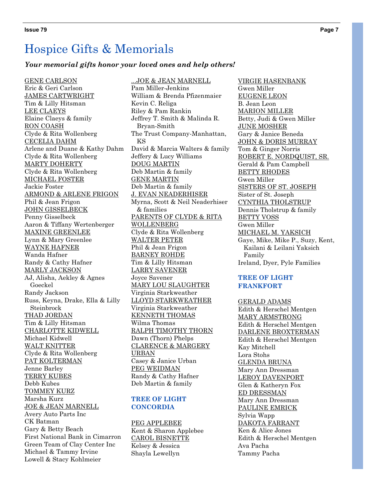#### *Your memorial gifts honor your loved ones and help others!*

GENE CARLSON Eric & Geri Carlson JAMES CARTWRIGHT Tim & Lilly Hitsman LEE CLAEYS Elaine Claeys & family RON COASH Clyde & Rita Wollenberg CECELIA DAHM Arlene and Duane & Kathy Dahm Clyde & Rita Wollenberg MARTY DOHERTY Clyde & Rita Wollenberg MICHAEL FOSTER Jackie Foster ARMOND & ARLENE FRIGON Phil & Jean Frigon JOHN GISSELBECK Penny Gisselbeck Aaron & Tiffany Wertenberger MAXINE GREENLEE Lynn & Mary Greenlee WAYNE HAFNER Wanda Hafner Randy & Cathy Hafner MARLY JACKSON AJ, Alisha, Aekley & Agnes Goeckel Randy Jackson Russ, Keyna, Drake, Ella & Lilly Steinbrock THAD JORDAN Tim & Lilly Hitsman CHARLOTTE KIDWELL Michael Kidwell WALT KNITTER Clyde & Rita Wollenberg PAT KOLTERMAN Jenne Barley TERRY KUBES Debb Kubes TOMMEY KURZ Marsha Kurz JOE & JEAN MARNELL Avery Auto Parts Inc CK Batman Gary & Betty Beach First National Bank in Cimarron Green Team of Clay Center Inc Michael & Tammy Irvine Lowell & Stacy Kohlmeier

...JOE & JEAN MARNELL Pam Miller-Jenkins William & Brenda Pfizenmaier Kevin C. Religa Riley & Pam Rankin Jeffrey T. Smith & Malinda R. Bryan-Smith The Trust Company-Manhattan, KS David & Marcia Walters & family Jeffery & Lucy Williams DOUG MARTIN Deb Martin & family GENE MARTIN Deb Martin & family J. EVAN NEADERHISER Myrna, Scott & Neil Neaderhiser & families PARENTS OF CLYDE & RITA WOLLENBERG Clyde & Rita Wollenberg WALTER PETER Phil & Jean Frigon BARNEY ROHDE Tim & Lilly Hitsman LARRY SAVENER Joyce Savener MARY LOU SLAUGHTER Virginia Starkweather LLOYD STARKWEATHER Virginia Starkweather KENNETH THOMAS Wilma Thomas RALPH TIMOTHY THORN Dawn (Thorn) Phelps CLARENCE & MARGERY URBAN Casey & Janice Urban PEG WEIDMAN Randy & Cathy Hafner Deb Martin & family

#### **TREE OF LIGHT CONCORDIA**

PEG APPLEBEE Kent & Sharon Applebee CAROL BISNETTE Kelsey & Jessica Shayla Lewellyn

VIRGIE HASENBANK Gwen Miller EUGENE LEON B. Jean Leon MARION MILLER Betty, Judi & Gwen Miller JUNE MOSHER Gary & Janice Beneda JOHN & DORIS MURRAY Tom & Ginger Norris ROBERT E. NORDQUIST, SR. Gerald & Pam Campbell BETTY RHODES Gwen Miller SISTERS OF ST. JOSEPH Sister of St. Joseph CYNTHIA THOLSTRUP Dennis Tholstrup & family BETTY VOSS Gwen Miller MICHAEL M. YAKSICH Gaye, Mike, Mike P., Suzy, Kent, Kailani & Leilani Yaksich Family Ireland, Dyer, Pyle Families

#### **TREE OF LIGHT FRANKFORT**

GERALD ADAMS Edith & Herschel Mentgen MARY ARMSTRONG Edith & Herschel Mentgen DARLENE BROXTERMAN Edith & Herschel Mentgen Kay Mitchell Lora Stohs GLENDA BRUNA Mary Ann Dressman LEROY DAVENPORT Glen & Katheryn Fox ED DRESSMAN Mary Ann Dressman PAULINE EMRICK Sylvia Wapp DAKOTA FARRANT Ken & Alice Jones Edith & Herschel Mentgen Ava Pacha Tammy Pacha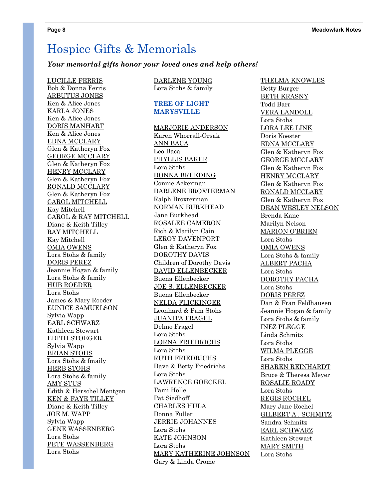#### *Your memorial gifts honor your loved ones and help others!*

LUCILLE FERRIS Bob & Donna Ferris ARBUTUS JONES Ken & Alice Jones KARLA JONES Ken & Alice Jones DORIS MANHART Ken & Alice Jones EDNA MCCLARY Glen & Katheryn Fox GEORGE MCCLARY Glen & Katheryn Fox HENRY MCCLARY Glen & Katheryn Fox RONALD MCCLARY Glen & Katheryn Fox CAROL MITCHELL Kay Mitchell CAROL & RAY MITCHELL Diane & Keith Tilley RAY MITCHELL Kay Mitchell OMIA OWENS Lora Stohs & family DORIS PEREZ Jeannie Hogan & family Lora Stohs & family HUB ROEDER Lora Stohs James & Mary Roeder EUNICE SAMUELSON Sylvia Wapp EARL SCHWARZ Kathleen Stewart EDITH STOEGER Sylvia Wapp BRIAN STOHS Lora Stohs & fmaily HERB STOHS Lora Stohs & family AMY STUS Edith & Herschel Mentgen KEN & FAYE TILLEY Diane & Keith Tilley JOE M. WAPP Sylvia Wapp GENE WASSENBERG Lora Stohs PETE WASSENBERG Lora Stohs

#### DARLENE YOUNG Lora Stohs & family

#### **TREE OF LIGHT MARYSVILLE**

MARJORIE ANDERSON Karen Whorrall-Orsak ANN BACA Leo Baca PHYLLIS BAKER Lora Stohs DONNA BREEDING Connie Ackerman DARLENE BROXTERMAN Ralph Broxterman NORMAN BURKHEAD Jane Burkhead ROSALEE CAMERON Rich & Marilyn Cain LEROY DAVENPORT Glen & Katheryn Fox DOROTHY DAVIS Children of Dorothy Davis DAVID ELLENBECKER Buena Ellenbecker JOE S. ELLENBECKER Buena Ellenbecker NELDA FLICKINGER Leonhard & Pam Stohs JUANITA FRAGEL Delmo Fragel Lora Stohs LORNA FRIEDRICHS Lora Stohs RUTH FRIEDRICHS Dave & Betty Friedrichs Lora Stohs LAWRENCE GOECKEL Tami Holle Pat Siedhoff CHARLES HULA Donna Fuller JERRIE JOHANNES Lora Stohs KATE JOHNSON Lora Stohs MARY KATHERINE JOHNSON Gary & Linda Crome

THELMA KNOWLES Betty Burger BETH KRASNY Todd Barr VERA LANDOLL Lora Stohs LORA LEE LINK Doris Koester EDNA MCCLARY Glen & Katheryn Fox GEORGE MCCLARY Glen & Katheryn Fox HENRY MCCLARY Glen & Katheryn Fox RONALD MCCLARY Glen & Katheryn Fox DEAN WESLEY NELSON Brenda Kane Marilyn Nelson MARION O'BRIEN Lora Stohs OMIA OWENS Lora Stohs & family ALBERT PACHA Lora Stohs DOROTHY PACHA Lora Stohs DORIS PEREZ Dan & Fran Feldhausen Jeannie Hogan & family Lora Stohs & family INEZ PLEGGE Linda Schmitz Lora Stohs WILMA PLEGGE Lora Stohs SHAREN REINHARDT Bruce & Theresa Meyer ROSALIE ROADY Lora Stohs REGIS ROCHEL Mary Jane Rochel GILBERT A . SCHMITZ Sandra Schmitz EARL SCHWARZ Kathleen Stewart MARY SMITH Lora Stohs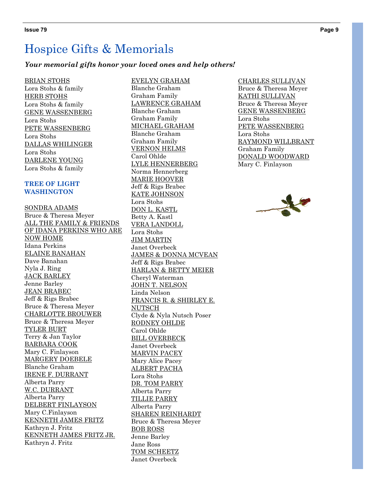#### *Your memorial gifts honor your loved ones and help others!*

BRIAN STOHS Lora Stohs & family HERB STOHS Lora Stohs & family GENE WASSENBERG Lora Stohs PETE WASSENBERG Lora Stohs DALLAS WHILINGER Lora Stohs DARLENE YOUNG Lora Stohs & family

#### **TREE OF LIGHT WASHINGTON**

SONDRA ADAMS Bruce & Theresa Meyer ALL THE FAMILY & FRIENDS OF IDANA PERKINS WHO ARE NOW HOME Idana Perkins ELAINE BANAHAN Dave Banahan Nyla J. Ring JACK BARLEY Jenne Barley JEAN BRABEC Jeff & Rigs Brabec Bruce & Theresa Meyer CHARLOTTE BROUWER Bruce & Theresa Meyer TYLER BURT Terry & Jan Taylor BARBARA COOK Mary C. Finlayson MARGERY DOEBELE Blanche Graham IRENE F. DURRANT Alberta Parry W.C. DURRANT Alberta Parry DELBERT FINLAYSON Mary C.Finlayson KENNETH JAMES FRITZ Kathryn J. Fritz KENNETH JAMES FRITZ JR. Kathryn J. Fritz

EVELYN GRAHAM Blanche Graham Graham Family LAWRENCE GRAHAM Blanche Graham Graham Family MICHAEL GRAHAM Blanche Graham Graham Family VERNON HELMS Carol Ohlde LYLE HENNERBERG Norma Hennerberg MARIE HOOVER Jeff & Rigs Brabec KATE JOHNSON Lora Stohs DON L. KASTL Betty A. Kastl VERA LANDOLL Lora Stohs JIM MARTIN Janet Overbeck JAMES & DONNA MCVEAN Jeff & Rigs Brabec HARLAN & BETTY MEIER Cheryl Waterman JOHN T. NELSON Linda Nelson FRANCIS R. & SHIRLEY E. NUTSCH Clyde & Nyla Nutsch Poser RODNEY OHLDE Carol Ohlde BILL OVERBECK Janet Overbeck MARVIN PACEY Mary Alice Pacey ALBERT PACHA Lora Stohs DR. TOM PARRY Alberta Parry TILLIE PARRY Alberta Parry SHAREN REINHARDT Bruce & Theresa Meyer BOB ROSS Jenne Barley Jane Ross TOM SCHEETZ Janet Overbeck

#### CHARLES SULLIVAN

Bruce & Theresa Meyer KATHI SULLIVAN Bruce & Theresa Meyer GENE WASSENBERG Lora Stohs PETE WASSENBERG Lora Stohs RAYMOND WILLBRANT Graham Family DONALD WOODWARD Mary C. Finlayson